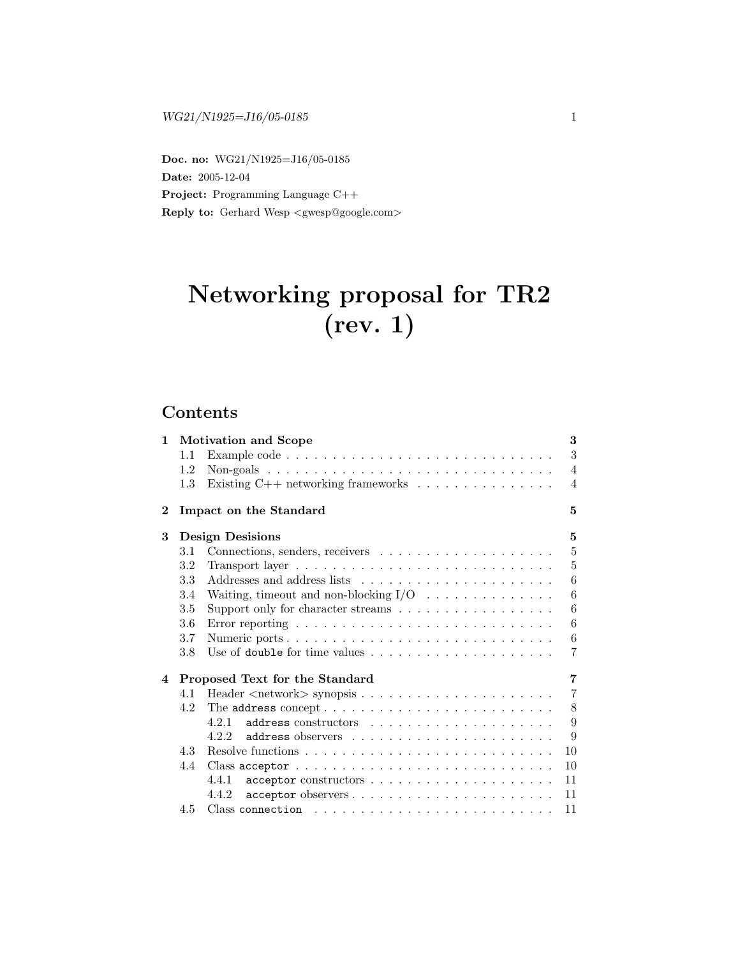Doc. no: WG21/N1925=J16/05-0185 Date: 2005-12-04 Project: Programming Language C++ Reply to: Gerhard Wesp <gwesp@google.com>

# Networking proposal for TR2 (rev. 1)

# Contents

| $\mathbf{1}$            |               | <b>Motivation and Scope</b>                                                 | 3               |
|-------------------------|---------------|-----------------------------------------------------------------------------|-----------------|
|                         | 1.1           |                                                                             | 3               |
|                         | 1.2           |                                                                             | $\overline{4}$  |
|                         | $1.3^{\circ}$ | Existing C++ networking frameworks $\dots \dots \dots \dots \dots$          | $\overline{4}$  |
| $\overline{\mathbf{2}}$ |               | Impact on the Standard                                                      | 5               |
| 3                       |               | <b>Design Desisions</b>                                                     | 5               |
|                         | 3.1           |                                                                             | $5\,$           |
|                         | 3.2           |                                                                             | $\overline{5}$  |
|                         | $3.3\,$       |                                                                             | 6               |
|                         | 3.4           | Waiting, timeout and non-blocking $I/O \dots \dots \dots \dots \dots$       | $6\phantom{.}6$ |
|                         | 3.5           | Support only for character streams $\ldots \ldots \ldots \ldots \ldots$     | 6               |
|                         | 3.6           |                                                                             | 6               |
|                         | 3.7           | Numeric ports                                                               | 6               |
|                         | 3.8           |                                                                             | $\overline{7}$  |
| $\overline{\mathbf{4}}$ |               | Proposed Text for the Standard                                              | 7               |
|                         | 4.1           |                                                                             | $\overline{7}$  |
|                         | 4.2           |                                                                             | 8               |
|                         |               | $address$ constructors $\ldots \ldots \ldots \ldots \ldots \ldots$<br>4.2.1 | 9               |
|                         |               | 4.2.2                                                                       | 9               |
|                         | 4.3           |                                                                             | 10              |
|                         | 4.4           |                                                                             | 10              |
|                         |               | 4.4.1                                                                       | 11              |
|                         |               | acceptor observers<br>4.4.2                                                 | 11              |
|                         | 4.5           |                                                                             | 11              |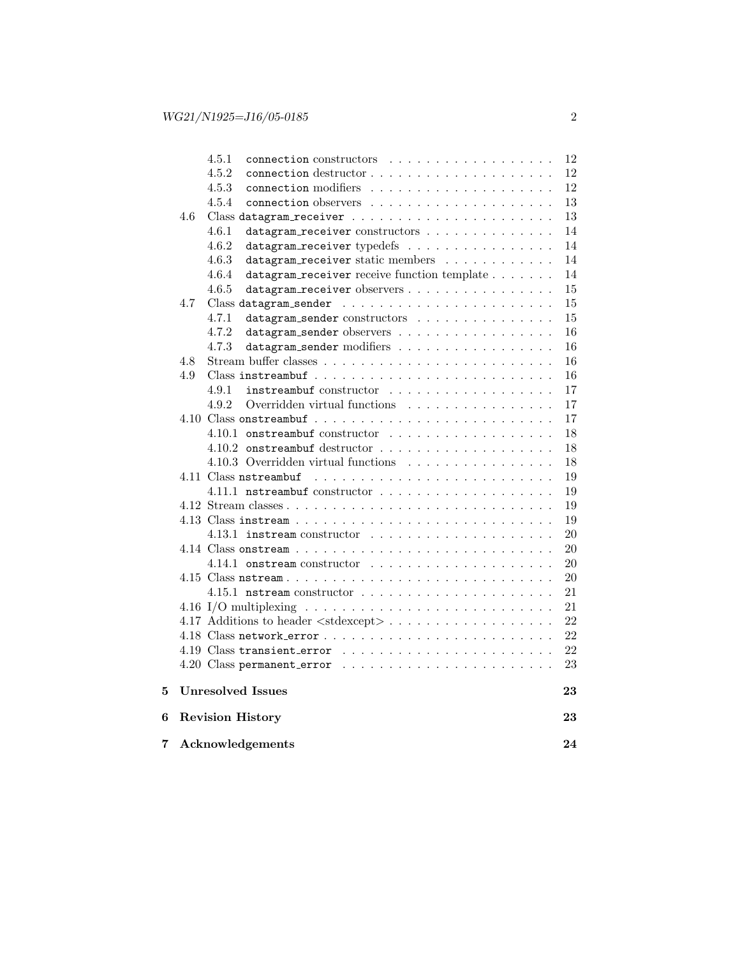| 7 |     | Acknowledgements                                                              | 24       |
|---|-----|-------------------------------------------------------------------------------|----------|
| 6 |     | <b>Revision History</b>                                                       | 23       |
| 5 |     | Unresolved Issues                                                             | 23       |
|   |     |                                                                               | 23       |
|   |     |                                                                               | 22       |
|   |     |                                                                               | 22       |
|   |     | 4.17 Additions to header $\langle$ stdexcept $\rangle$                        | 22       |
|   |     |                                                                               | 21       |
|   |     | 4.15.1 nstream constructor $\ldots \ldots \ldots \ldots \ldots \ldots \ldots$ | 21       |
|   |     |                                                                               | 20       |
|   |     | 4.14.1 onstream constructor $\ldots \ldots \ldots \ldots \ldots \ldots$       | 20       |
|   |     |                                                                               | 20       |
|   |     | 4.13.1 instream constructor $\ldots \ldots \ldots \ldots \ldots \ldots$       | 20       |
|   |     |                                                                               | 19       |
|   |     |                                                                               | 19       |
|   |     |                                                                               | 19       |
|   |     | 4.11 Class nstreambuf                                                         | 19       |
|   |     | 4.10.3 Overridden virtual functions                                           | 18       |
|   |     |                                                                               | 18       |
|   |     | 4.10.1 onstreambuf constructor                                                | 18       |
|   |     |                                                                               | 17       |
|   |     | 4.9.2<br>Overridden virtual functions                                         | 17       |
|   |     | 4.9.1<br>instreambuf constructor                                              | 17       |
|   | 4.9 |                                                                               | 16       |
|   | 4.8 |                                                                               | 16       |
|   |     | datagram_sender observers<br>4.7.3<br>datagram_sender modifiers               | 16<br>16 |
|   |     | 4.7.1<br>datagram_sender constructors<br>4.7.2                                | 15       |
|   | 4.7 |                                                                               | 15       |
|   |     | 4.6.5<br>datagram_receiver observers                                          | 15       |
|   |     | 4.6.4<br>datagram_receiver receive function template                          | 14       |
|   |     | 4.6.3<br>datagram_receiver static members                                     | 14       |
|   |     | 4.6.2<br>datagram_receiver typedefs                                           | 14       |
|   |     | 4.6.1<br>datagram_receiver constructors                                       | 14       |
|   | 4.6 |                                                                               | 13       |
|   |     | 4.5.4                                                                         | 13       |
|   |     | 4.5.3                                                                         | 12       |
|   |     | 4.5.2                                                                         | 12       |
|   |     | 4.5.1<br>connection constructors                                              | 12       |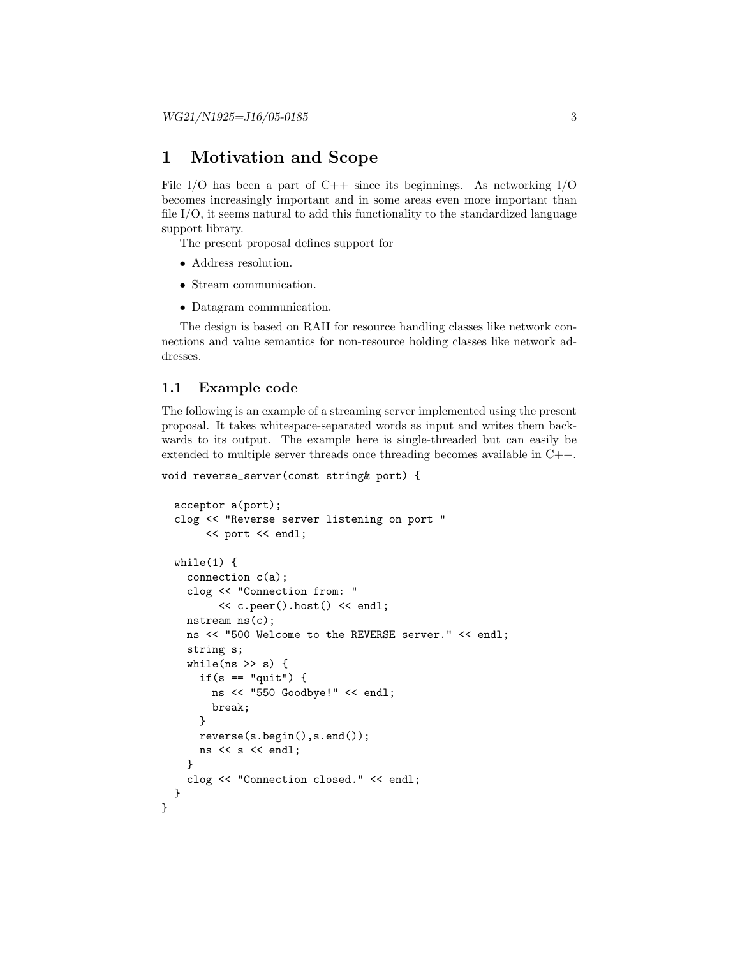# 1 Motivation and Scope

File I/O has been a part of C++ since its beginnings. As networking  $I/O$ becomes increasingly important and in some areas even more important than file I/O, it seems natural to add this functionality to the standardized language support library.

The present proposal defines support for

- Address resolution.
- Stream communication.
- Datagram communication.

The design is based on RAII for resource handling classes like network connections and value semantics for non-resource holding classes like network addresses.

## 1.1 Example code

}

The following is an example of a streaming server implemented using the present proposal. It takes whitespace-separated words as input and writes them backwards to its output. The example here is single-threaded but can easily be extended to multiple server threads once threading becomes available in C++.

```
void reverse_server(const string& port) {
```

```
acceptor a(port);
clog << "Reverse server listening on port "
     << port << endl;
while(1) {
  connection c(a);
  clog << "Connection from: "
       << c.peer().host() << endl;
  nstream ns(c);
  ns << "500 Welcome to the REVERSE server." << endl;
  string s;
  while(ns \gg s) {
    if(s == "quit") {
      ns << "550 Goodbye!" << endl;
      break;
    }
    reverse(s.begin(),s.end());
    ns << s << endl;
  }
  clog << "Connection closed." << endl;
}
```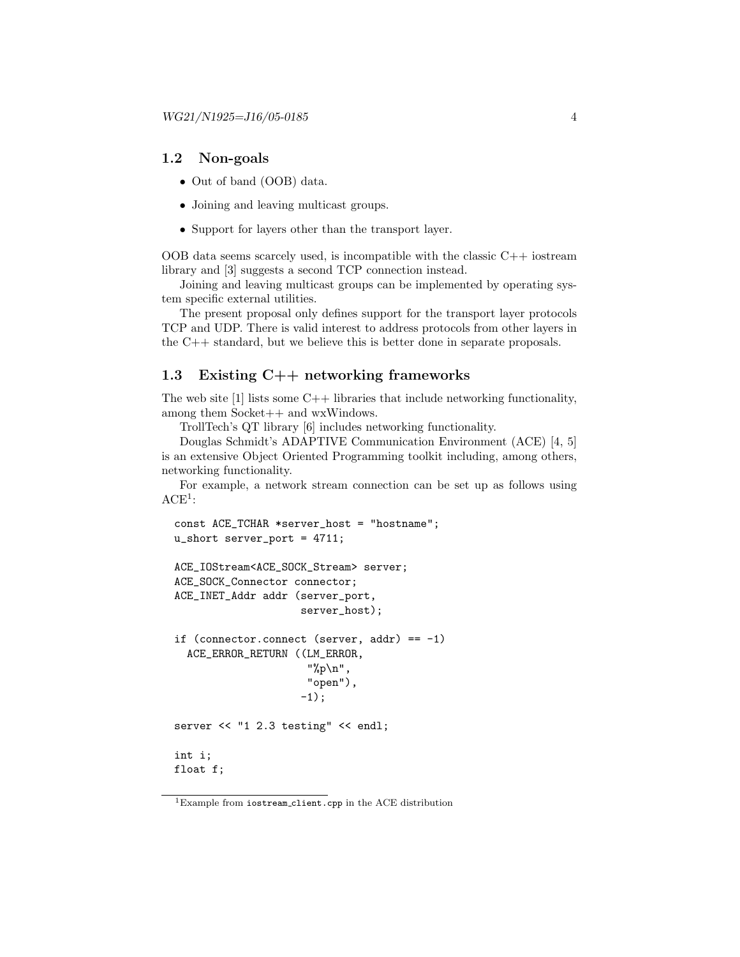# 1.2 Non-goals

- Out of band (OOB) data.
- Joining and leaving multicast groups.
- Support for layers other than the transport layer.

OOB data seems scarcely used, is incompatible with the classic  $C++$  iostream library and [3] suggests a second TCP connection instead.

Joining and leaving multicast groups can be implemented by operating system specific external utilities.

The present proposal only defines support for the transport layer protocols TCP and UDP. There is valid interest to address protocols from other layers in the C++ standard, but we believe this is better done in separate proposals.

# 1.3 Existing C++ networking frameworks

The web site  $[1]$  lists some  $C++$  libraries that include networking functionality, among them Socket++ and wxWindows.

TrollTech's QT library [6] includes networking functionality.

Douglas Schmidt's ADAPTIVE Communication Environment (ACE) [4, 5] is an extensive Object Oriented Programming toolkit including, among others, networking functionality.

For example, a network stream connection can be set up as follows using  $ACE<sup>1</sup>$ :

```
const ACE_TCHAR *server_host = "hostname";
u_short server_port = 4711;
ACE_IOStream<ACE_SOCK_Stream> server;
ACE_SOCK_Connector connector;
ACE_INET_Addr addr (server_port,
                    server_host);
if (connector.connect (server, addr) == -1)
  ACE_ERROR_RETURN ((LM_ERROR,
                     "%p\n",
                     "open"),
                    -1);
server << "1 2.3 testing" << endl;
int i;
float f;
```
 $^1\rm{Example}$  from  $\texttt{isstream\_client}.\texttt{cpp}$  in the ACE distribution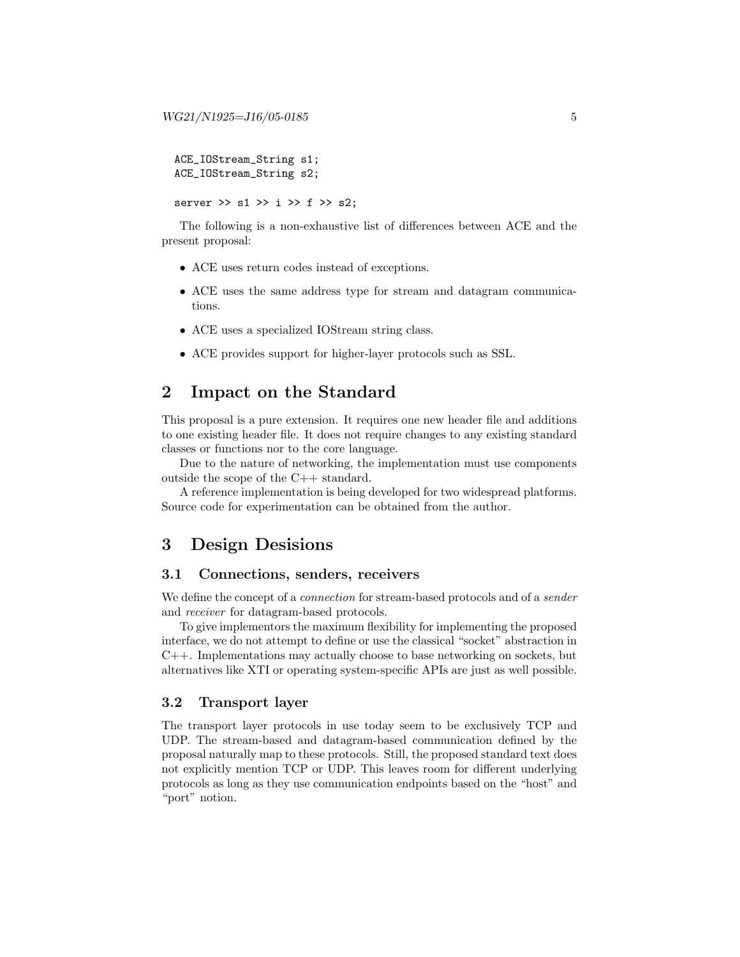```
ACE_IOStream_String s1;
ACE_IOStream_String s2;
```
server >> s1 >> i >> f >> s2;

The following is a non-exhaustive list of differences between ACE and the present proposal:

- ACE uses return codes instead of exceptions.
- ACE uses the same address type for stream and datagram communications.
- ACE uses a specialized IOStream string class.
- ACE provides support for higher-layer protocols such as SSL.

# 2 Impact on the Standard

This proposal is a pure extension. It requires one new header file and additions to one existing header file. It does not require changes to any existing standard classes or functions nor to the core language.

Due to the nature of networking, the implementation must use components outside the scope of the C++ standard.

A reference implementation is being developed for two widespread platforms. Source code for experimentation can be obtained from the author.

# 3 Design Desisions

# 3.1 Connections, senders, receivers

We define the concept of a *connection* for stream-based protocols and of a *sender* and receiver for datagram-based protocols.

To give implementors the maximum flexibility for implementing the proposed interface, we do not attempt to define or use the classical "socket" abstraction in C++. Implementations may actually choose to base networking on sockets, but alternatives like XTI or operating system-specific APIs are just as well possible.

# 3.2 Transport layer

The transport layer protocols in use today seem to be exclusively TCP and UDP. The stream-based and datagram-based communication defined by the proposal naturally map to these protocols. Still, the proposed standard text does not explicitly mention TCP or UDP. This leaves room for different underlying protocols as long as they use communication endpoints based on the "host" and "port" notion.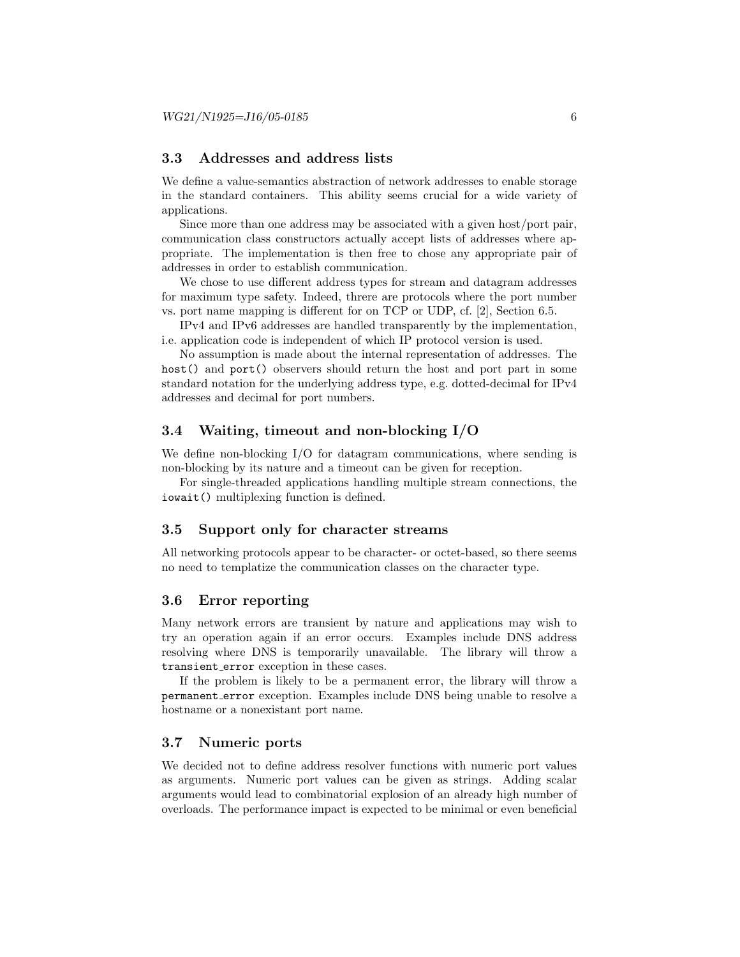# 3.3 Addresses and address lists

We define a value-semantics abstraction of network addresses to enable storage in the standard containers. This ability seems crucial for a wide variety of applications.

Since more than one address may be associated with a given host/port pair, communication class constructors actually accept lists of addresses where appropriate. The implementation is then free to chose any appropriate pair of addresses in order to establish communication.

We chose to use different address types for stream and datagram addresses for maximum type safety. Indeed, threre are protocols where the port number vs. port name mapping is different for on TCP or UDP, cf. [2], Section 6.5.

IPv4 and IPv6 addresses are handled transparently by the implementation, i.e. application code is independent of which IP protocol version is used.

No assumption is made about the internal representation of addresses. The host() and port() observers should return the host and port part in some standard notation for the underlying address type, e.g. dotted-decimal for IPv4 addresses and decimal for port numbers.

# 3.4 Waiting, timeout and non-blocking I/O

We define non-blocking I/O for datagram communications, where sending is non-blocking by its nature and a timeout can be given for reception.

For single-threaded applications handling multiple stream connections, the iowait() multiplexing function is defined.

### 3.5 Support only for character streams

All networking protocols appear to be character- or octet-based, so there seems no need to templatize the communication classes on the character type.

#### 3.6 Error reporting

Many network errors are transient by nature and applications may wish to try an operation again if an error occurs. Examples include DNS address resolving where DNS is temporarily unavailable. The library will throw a transient error exception in these cases.

If the problem is likely to be a permanent error, the library will throw a permanent error exception. Examples include DNS being unable to resolve a hostname or a nonexistant port name.

# 3.7 Numeric ports

We decided not to define address resolver functions with numeric port values as arguments. Numeric port values can be given as strings. Adding scalar arguments would lead to combinatorial explosion of an already high number of overloads. The performance impact is expected to be minimal or even beneficial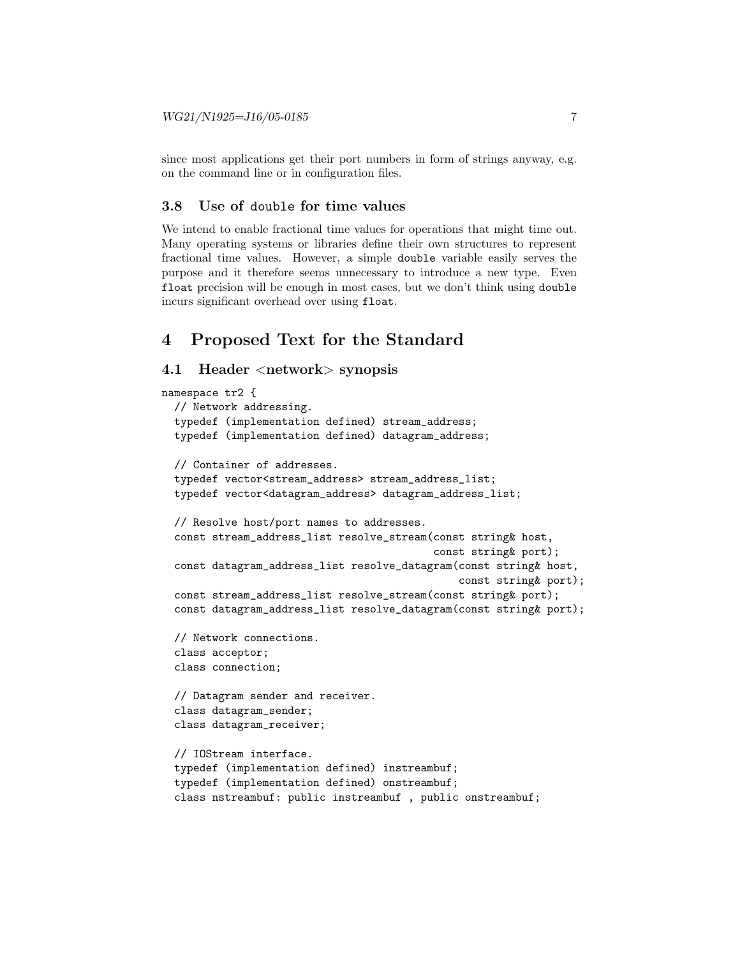since most applications get their port numbers in form of strings anyway, e.g. on the command line or in configuration files.

# 3.8 Use of double for time values

We intend to enable fractional time values for operations that might time out. Many operating systems or libraries define their own structures to represent fractional time values. However, a simple double variable easily serves the purpose and it therefore seems unnecessary to introduce a new type. Even float precision will be enough in most cases, but we don't think using double incurs significant overhead over using float.

# 4 Proposed Text for the Standard

### 4.1 Header <network> synopsis

```
namespace tr2 {
  // Network addressing.
 typedef (implementation defined) stream_address;
  typedef (implementation defined) datagram_address;
  // Container of addresses.
  typedef vector<stream_address> stream_address_list;
  typedef vector<datagram_address> datagram_address_list;
  // Resolve host/port names to addresses.
  const stream_address_list resolve_stream(const string& host,
                                           const string& port);
  const datagram_address_list resolve_datagram(const string& host,
                                                const string& port);
  const stream_address_list resolve_stream(const string& port);
  const datagram_address_list resolve_datagram(const string& port);
  // Network connections.
  class acceptor;
  class connection;
  // Datagram sender and receiver.
  class datagram_sender;
  class datagram_receiver;
  // IOStream interface.
  typedef (implementation defined) instreambuf;
  typedef (implementation defined) onstreambuf;
  class nstreambuf: public instreambuf , public onstreambuf;
```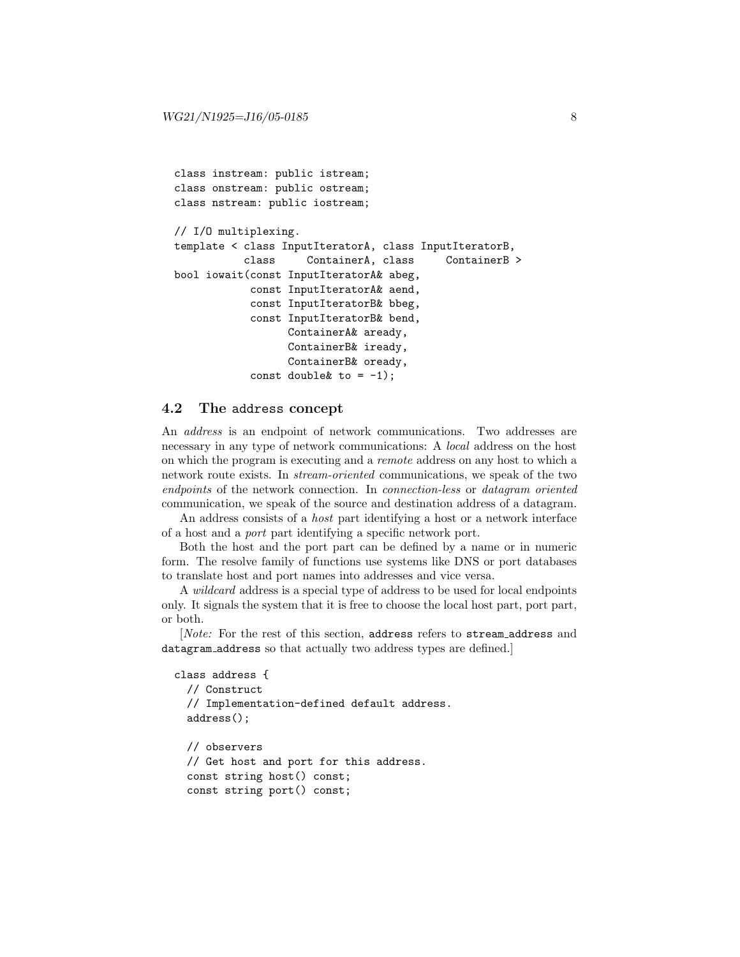```
class instream: public istream;
class onstream: public ostream;
class nstream: public iostream;
// I/O multiplexing.
template < class InputIteratorA, class InputIteratorB,
           class ContainerA, class ContainerB >
bool iowait(const InputIteratorA& abeg,
            const InputIteratorA& aend,
            const InputIteratorB& bbeg,
            const InputIteratorB& bend,
                  ContainerA& aready,
                  ContainerB& iready,
                  ContainerB& oready,
            const double \& to = -1);
```
# 4.2 The address concept

An address is an endpoint of network communications. Two addresses are necessary in any type of network communications: A local address on the host on which the program is executing and a remote address on any host to which a network route exists. In stream-oriented communications, we speak of the two endpoints of the network connection. In *connection-less* or *datagram* oriented communication, we speak of the source and destination address of a datagram.

An address consists of a host part identifying a host or a network interface of a host and a port part identifying a specific network port.

Both the host and the port part can be defined by a name or in numeric form. The resolve family of functions use systems like DNS or port databases to translate host and port names into addresses and vice versa.

A wildcard address is a special type of address to be used for local endpoints only. It signals the system that it is free to choose the local host part, port part, or both.

[Note: For the rest of this section, address refers to stream address and datagram address so that actually two address types are defined.]

```
class address {
  // Construct
 // Implementation-defined default address.
 address();
 // observers
  // Get host and port for this address.
 const string host() const;
  const string port() const;
```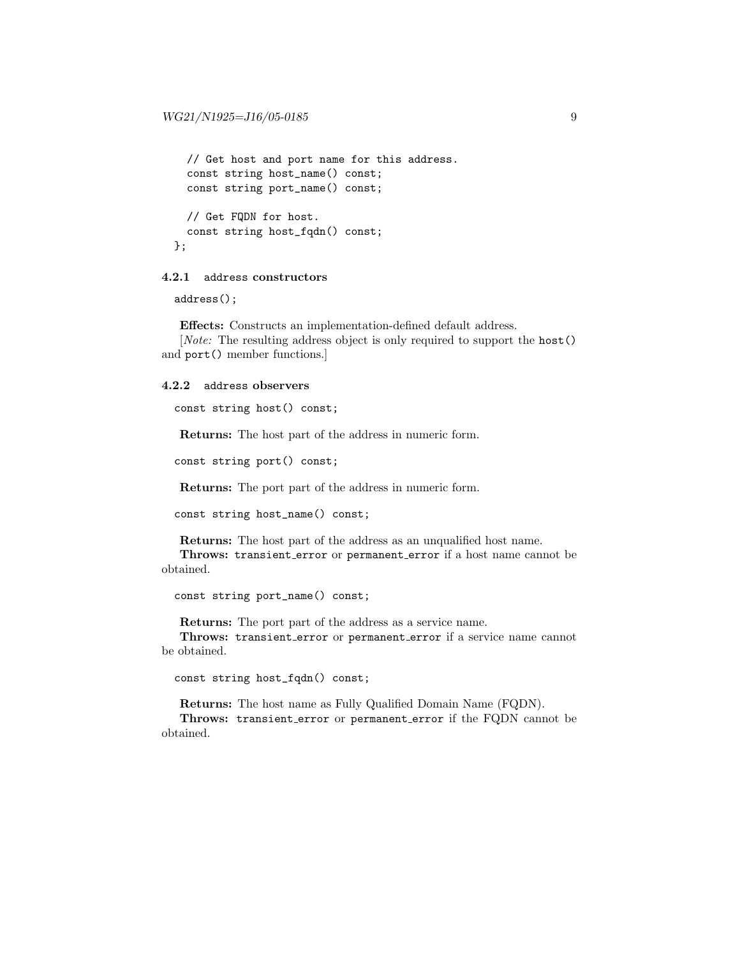```
// Get host and port name for this address.
  const string host_name() const;
  const string port_name() const;
  // Get FQDN for host.
  const string host_fqdn() const;
};
```
### 4.2.1 address constructors

address();

Effects: Constructs an implementation-defined default address.

[Note: The resulting address object is only required to support the host() and port() member functions.]

#### 4.2.2 address observers

```
const string host() const;
```
Returns: The host part of the address in numeric form.

const string port() const;

Returns: The port part of the address in numeric form.

```
const string host_name() const;
```
Returns: The host part of the address as an unqualified host name. Throws: transient\_error or permanent\_error if a host name cannot be obtained.

const string port\_name() const;

Returns: The port part of the address as a service name.

Throws: transient\_error or permanent\_error if a service name cannot be obtained.

const string host\_fqdn() const;

Returns: The host name as Fully Qualified Domain Name (FQDN).

Throws: transient\_error or permanent\_error if the FQDN cannot be obtained.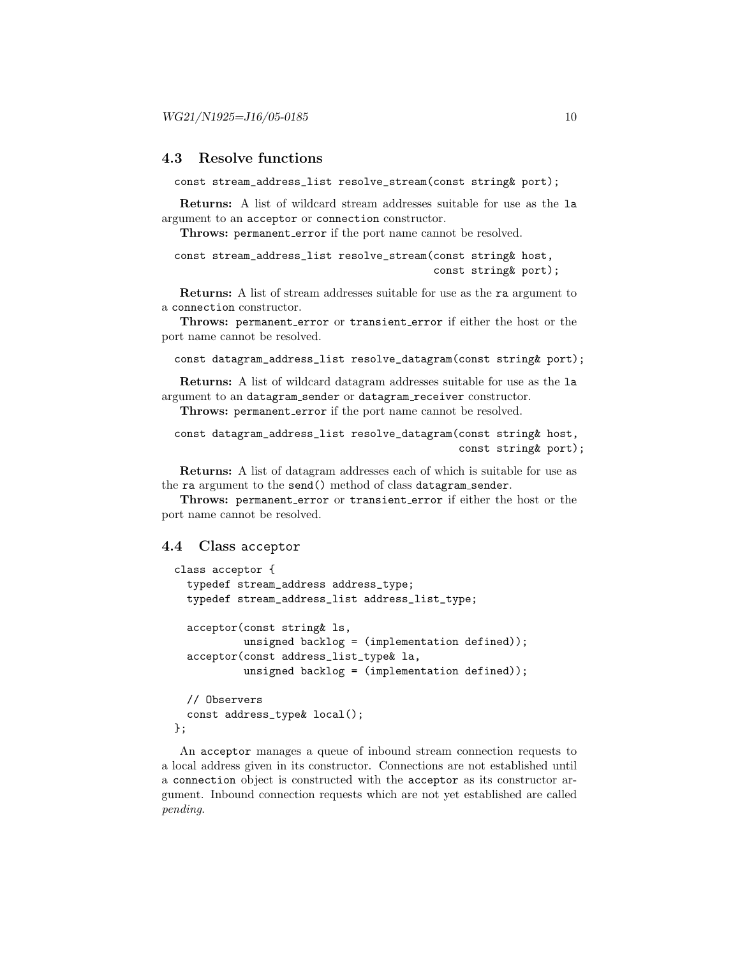# 4.3 Resolve functions

const stream\_address\_list resolve\_stream(const string& port);

Returns: A list of wildcard stream addresses suitable for use as the la argument to an acceptor or connection constructor.

Throws: permanent\_error if the port name cannot be resolved.

```
const stream_address_list resolve_stream(const string& host,
                                         const string& port);
```
Returns: A list of stream addresses suitable for use as the ra argument to a connection constructor.

Throws: permanent\_error or transient\_error if either the host or the port name cannot be resolved.

```
const datagram_address_list resolve_datagram(const string& port);
```
Returns: A list of wildcard datagram addresses suitable for use as the la argument to an datagram sender or datagram receiver constructor.

Throws: permanent\_error if the port name cannot be resolved.

```
const datagram_address_list resolve_datagram(const string& host,
                                             const string& port);
```
Returns: A list of datagram addresses each of which is suitable for use as the ra argument to the send() method of class datagram sender.

Throws: permanent error or transient error if either the host or the port name cannot be resolved.

### 4.4 Class acceptor

```
class acceptor {
  typedef stream_address address_type;
  typedef stream_address_list address_list_type;
  acceptor(const string& ls,
           unsigned backlog = (implementation defined));
  acceptor(const address_list_type& la,
           unsigned backlog = (implementation defined));
  // Observers
  const address_type& local();
};
```
An acceptor manages a queue of inbound stream connection requests to a local address given in its constructor. Connections are not established until a connection object is constructed with the acceptor as its constructor argument. Inbound connection requests which are not yet established are called pending.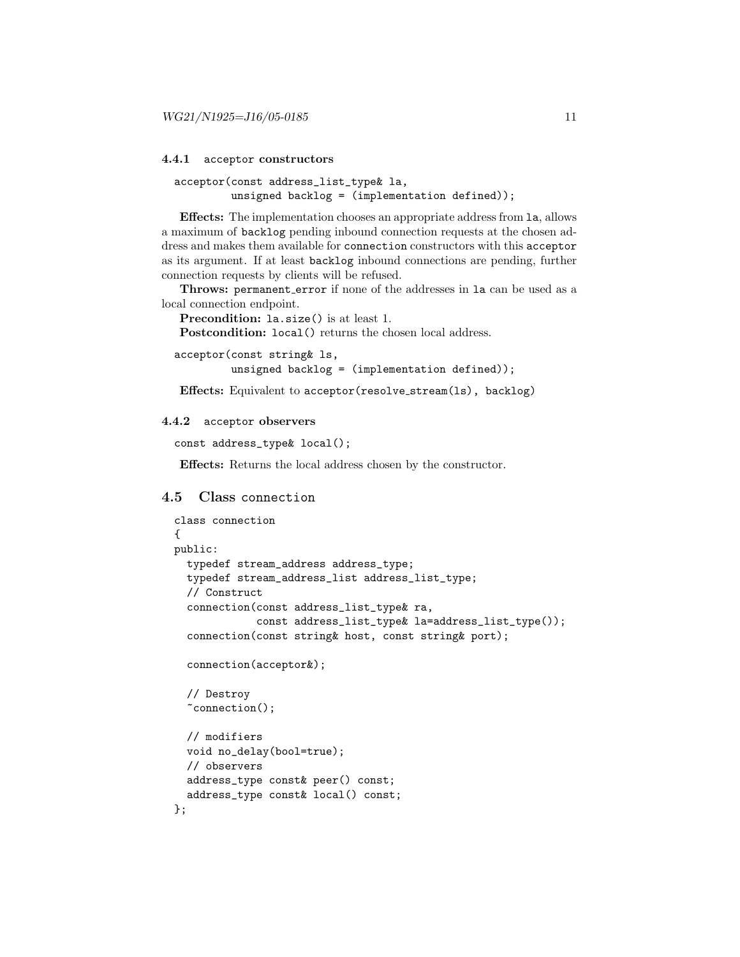#### 4.4.1 acceptor constructors

```
acceptor(const address_list_type& la,
         unsigned backlog = (implementation defined));
```
Effects: The implementation chooses an appropriate address from la, allows a maximum of backlog pending inbound connection requests at the chosen address and makes them available for connection constructors with this acceptor as its argument. If at least backlog inbound connections are pending, further connection requests by clients will be refused.

Throws: permanent\_error if none of the addresses in la can be used as a local connection endpoint.

```
Precondition: la.size() is at least 1.
```
Postcondition: local() returns the chosen local address.

```
acceptor(const string& ls,
```
unsigned backlog =  $(implementation defined));$ 

Effects: Equivalent to acceptor(resolve stream(ls), backlog)

#### 4.4.2 acceptor observers

```
const address_type& local();
```
Effects: Returns the local address chosen by the constructor.

# 4.5 Class connection

```
class connection
{
public:
  typedef stream_address address_type;
  typedef stream_address_list address_list_type;
  // Construct
  connection(const address_list_type& ra,
             const address_list_type& la=address_list_type());
  connection(const string& host, const string& port);
  connection(acceptor&);
  // Destroy
  ~connection();
  // modifiers
  void no_delay(bool=true);
  // observers
  address_type const& peer() const;
  address_type const& local() const;
};
```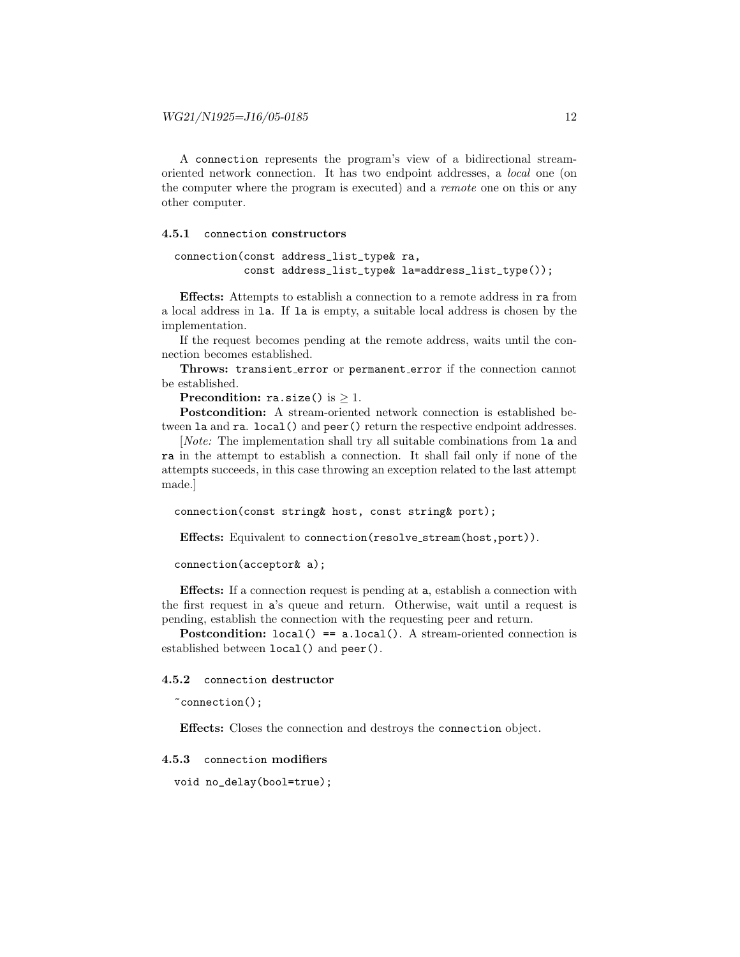A connection represents the program's view of a bidirectional streamoriented network connection. It has two endpoint addresses, a local one (on the computer where the program is executed) and a remote one on this or any other computer.

#### 4.5.1 connection constructors

```
connection(const address_list_type& ra,
           const address_list_type& la=address_list_type());
```
Effects: Attempts to establish a connection to a remote address in ra from a local address in la. If la is empty, a suitable local address is chosen by the implementation.

If the request becomes pending at the remote address, waits until the connection becomes established.

Throws: transient error or permanent error if the connection cannot be established.

Precondition: ra.size() is  $\geq$  1.

Postcondition: A stream-oriented network connection is established between la and ra. local() and peer() return the respective endpoint addresses.

[Note: The implementation shall try all suitable combinations from la and ra in the attempt to establish a connection. It shall fail only if none of the attempts succeeds, in this case throwing an exception related to the last attempt made.]

connection(const string& host, const string& port);

Effects: Equivalent to connection(resolve stream(host,port)).

connection(acceptor& a);

Effects: If a connection request is pending at a, establish a connection with the first request in a's queue and return. Otherwise, wait until a request is pending, establish the connection with the requesting peer and return.

**Postcondition:**  $local() == a.load()$ . A stream-oriented connection is established between local() and peer().

#### 4.5.2 connection destructor

~connection();

Effects: Closes the connection and destroys the connection object.

#### 4.5.3 connection modifiers

void no\_delay(bool=true);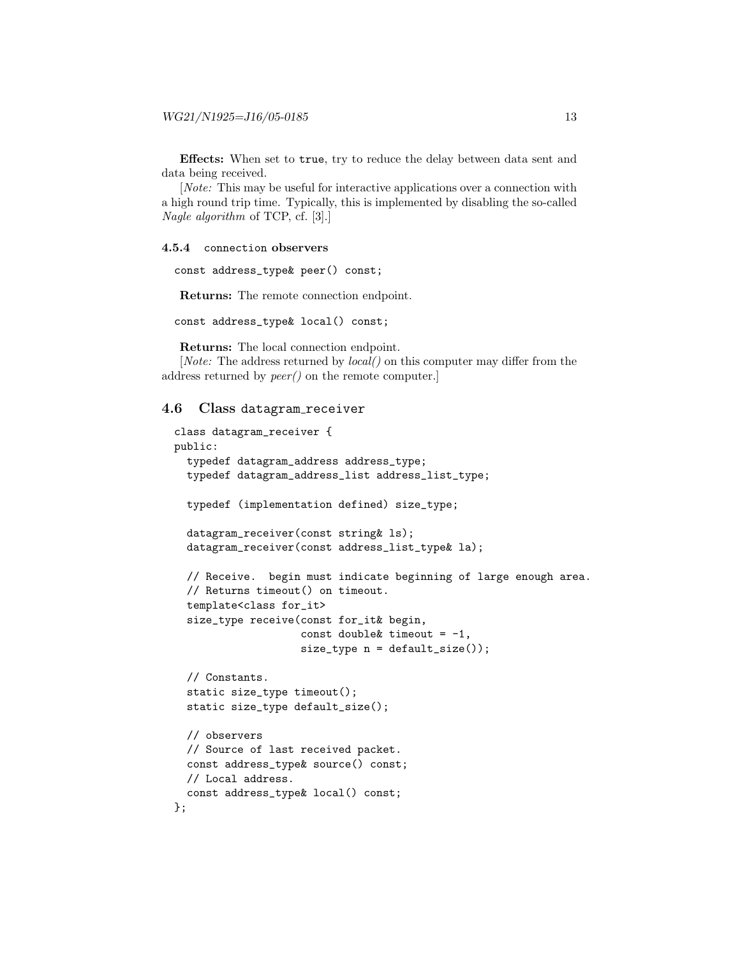Effects: When set to true, try to reduce the delay between data sent and data being received.

[Note: This may be useful for interactive applications over a connection with a high round trip time. Typically, this is implemented by disabling the so-called Nagle algorithm of TCP, cf. [3].]

#### 4.5.4 connection observers

const address\_type& peer() const;

Returns: The remote connection endpoint.

const address\_type& local() const;

Returns: The local connection endpoint.

[*Note:* The address returned by *local*(*)* on this computer may differ from the address returned by peer() on the remote computer.]

```
4.6 Class datagram receiver
```

```
class datagram_receiver {
public:
  typedef datagram_address address_type;
  typedef datagram_address_list address_list_type;
  typedef (implementation defined) size_type;
  datagram_receiver(const string& ls);
  datagram_receiver(const address_list_type& la);
  // Receive. begin must indicate beginning of large enough area.
  // Returns timeout() on timeout.
  template<class for_it>
  size_type receive(const for_it& begin,
                    const double & timeout = -1,
                    size_type n = default_size());
  // Constants.
  static size_type timeout();
  static size_type default_size();
  // observers
  // Source of last received packet.
  const address_type& source() const;
  // Local address.
  const address_type& local() const;
};
```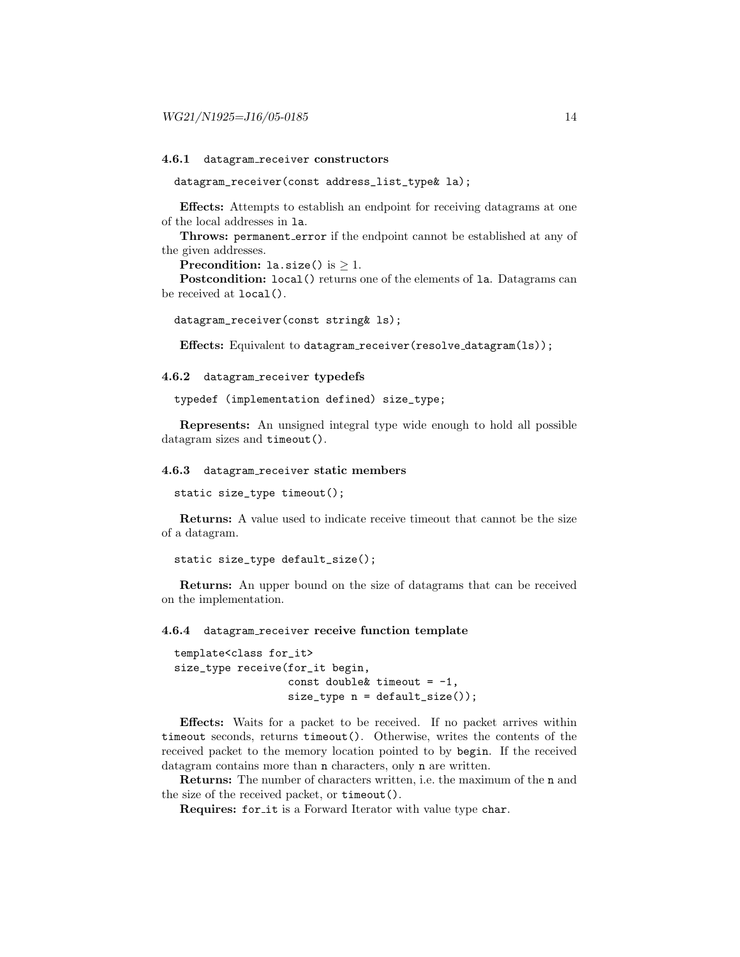#### 4.6.1 datagram receiver constructors

datagram\_receiver(const address\_list\_type& la);

Effects: Attempts to establish an endpoint for receiving datagrams at one of the local addresses in la.

Throws: permanent\_error if the endpoint cannot be established at any of the given addresses.

**Precondition:** la.size() is  $\geq$  1.

Postcondition: local() returns one of the elements of la. Datagrams can be received at local().

```
datagram_receiver(const string& ls);
```
Effects: Equivalent to datagram\_receiver(resolve\_datagram(ls));

#### 4.6.2 datagram receiver typedefs

typedef (implementation defined) size\_type;

Represents: An unsigned integral type wide enough to hold all possible datagram sizes and timeout().

#### 4.6.3 datagram receiver static members

static size\_type timeout();

Returns: A value used to indicate receive timeout that cannot be the size of a datagram.

```
static size_type default_size();
```
Returns: An upper bound on the size of datagrams that can be received on the implementation.

#### 4.6.4 datagram receiver receive function template

```
template<class for_it>
size_type receive(for_it begin,
                  const double & timeout = -1,
                  size_type n = default_size());
```
Effects: Waits for a packet to be received. If no packet arrives within timeout seconds, returns timeout(). Otherwise, writes the contents of the received packet to the memory location pointed to by begin. If the received datagram contains more than n characters, only n are written.

Returns: The number of characters written, i.e. the maximum of the n and the size of the received packet, or timeout().

Requires: for it is a Forward Iterator with value type char.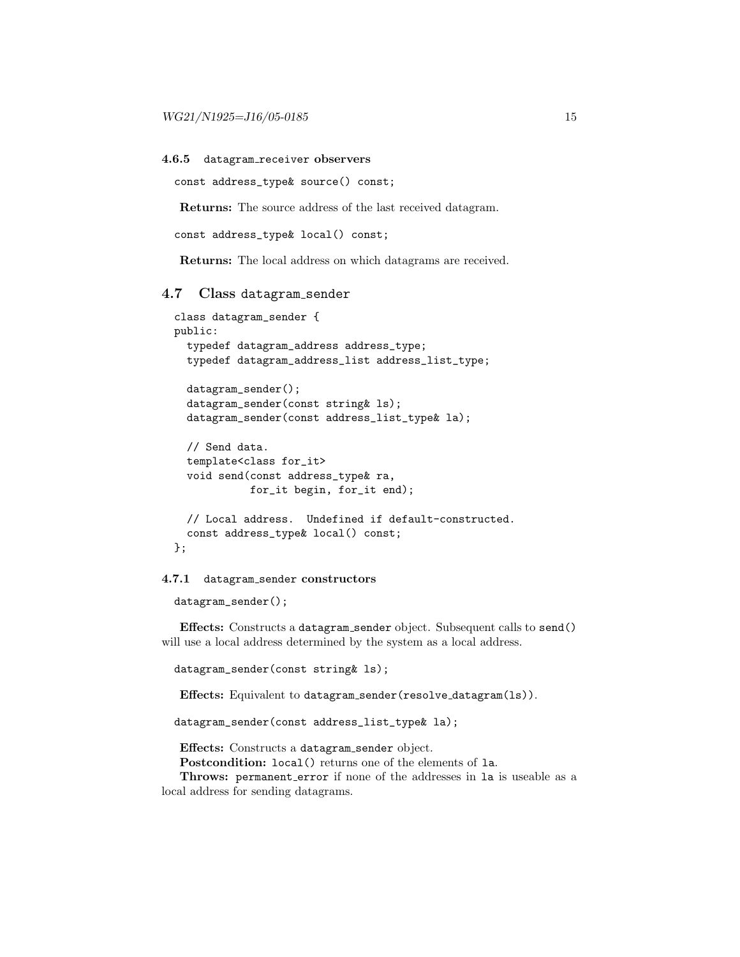#### 4.6.5 datagram receiver observers

```
const address_type& source() const;
```
Returns: The source address of the last received datagram.

```
const address_type& local() const;
```
Returns: The local address on which datagrams are received.

#### 4.7 Class datagram sender

```
class datagram_sender {
public:
  typedef datagram_address address_type;
  typedef datagram_address_list address_list_type;
  datagram_sender();
  datagram_sender(const string& ls);
  datagram_sender(const address_list_type& la);
  // Send data.
  template<class for_it>
  void send(const address_type& ra,
            for_it begin, for_it end);
  // Local address. Undefined if default-constructed.
  const address_type& local() const;
};
```
#### 4.7.1 datagram sender constructors

datagram\_sender();

Effects: Constructs a datagram sender object. Subsequent calls to send() will use a local address determined by the system as a local address.

```
datagram_sender(const string& ls);
```
Effects: Equivalent to datagram sender(resolve datagram(ls)).

datagram\_sender(const address\_list\_type& la);

Effects: Constructs a datagram sender object.

Postcondition: local() returns one of the elements of la.

Throws: permanent\_error if none of the addresses in la is useable as a local address for sending datagrams.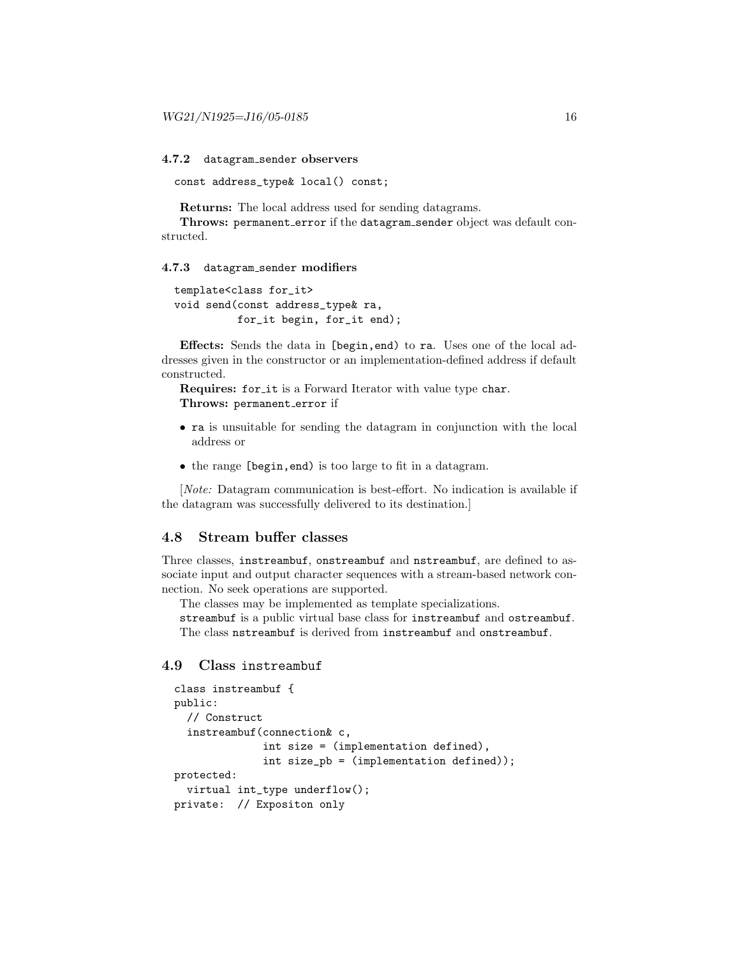4.7.2 datagram sender observers

const address\_type& local() const;

Returns: The local address used for sending datagrams.

Throws: permanent\_error if the datagram\_sender object was default constructed.

#### 4.7.3 datagram sender modifiers

```
template<class for_it>
void send(const address_type& ra,
          for_it begin, for_it end);
```
Effects: Sends the data in [begin,end) to ra. Uses one of the local addresses given in the constructor or an implementation-defined address if default constructed.

Requires: for it is a Forward Iterator with value type char. Throws: permanent\_error if

- ra is unsuitable for sending the datagram in conjunction with the local address or
- the range [begin,end) is too large to fit in a datagram.

[Note: Datagram communication is best-effort. No indication is available if the datagram was successfully delivered to its destination.]

# 4.8 Stream buffer classes

Three classes, instreambuf, onstreambuf and nstreambuf, are defined to associate input and output character sequences with a stream-based network connection. No seek operations are supported.

The classes may be implemented as template specializations.

streambuf is a public virtual base class for instreambuf and ostreambuf. The class nstreambuf is derived from instreambuf and onstreambuf.

# 4.9 Class instreambuf

```
class instreambuf {
public:
  // Construct
  instreambuf(connection& c,
              int size = (implementation defined),
              int size_pb = (implementation defined));
protected:
  virtual int_type underflow();
private: // Expositon only
```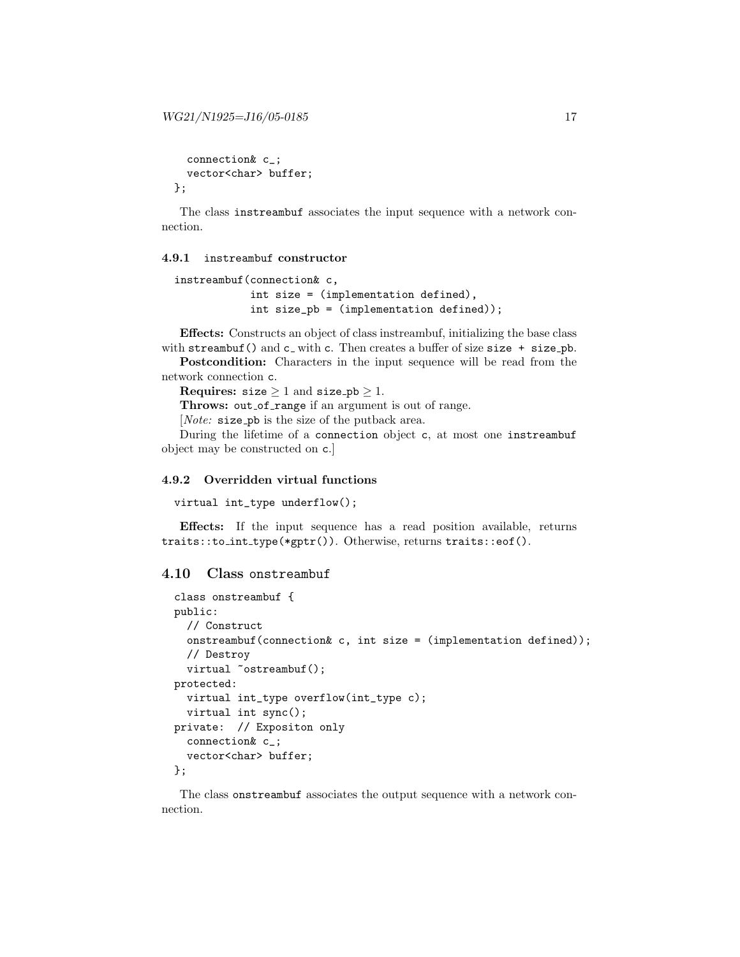```
connection& c_;
  vector<char> buffer;
};
```
The class instreambuf associates the input sequence with a network connection.

#### 4.9.1 instreambuf constructor

```
instreambuf(connection& c,
            int size = (implementation defined),
            int size_pb = (implementation defined));
```
Effects: Constructs an object of class instreambuf, initializing the base class with streambuf() and  $c<sub>-</sub>$  with c. Then creates a buffer of size size + size\_pb.

Postcondition: Characters in the input sequence will be read from the network connection c.

Requires: size  $\geq 1$  and size\_pb  $\geq 1$ .

Throws: out\_of\_range if an argument is out of range.

[*Note:* size\_pb is the size of the putback area.

During the lifetime of a connection object c, at most one instreambuf object may be constructed on c.]

# 4.9.2 Overridden virtual functions

```
virtual int_type underflow();
```
Effects: If the input sequence has a read position available, returns traits::to\_int\_type(\*gptr()). Otherwise, returns traits::eof().

# 4.10 Class onstreambuf

```
class onstreambuf {
public:
  // Construct
  onstreambuf(connection& c, int size = (implementation defined));
  // Destroy
  virtual "ostreambuf();
protected:
  virtual int_type overflow(int_type c);
  virtual int sync();
private: // Expositon only
  connection& c_;
  vector<char> buffer;
};
```
The class onstreambuf associates the output sequence with a network connection.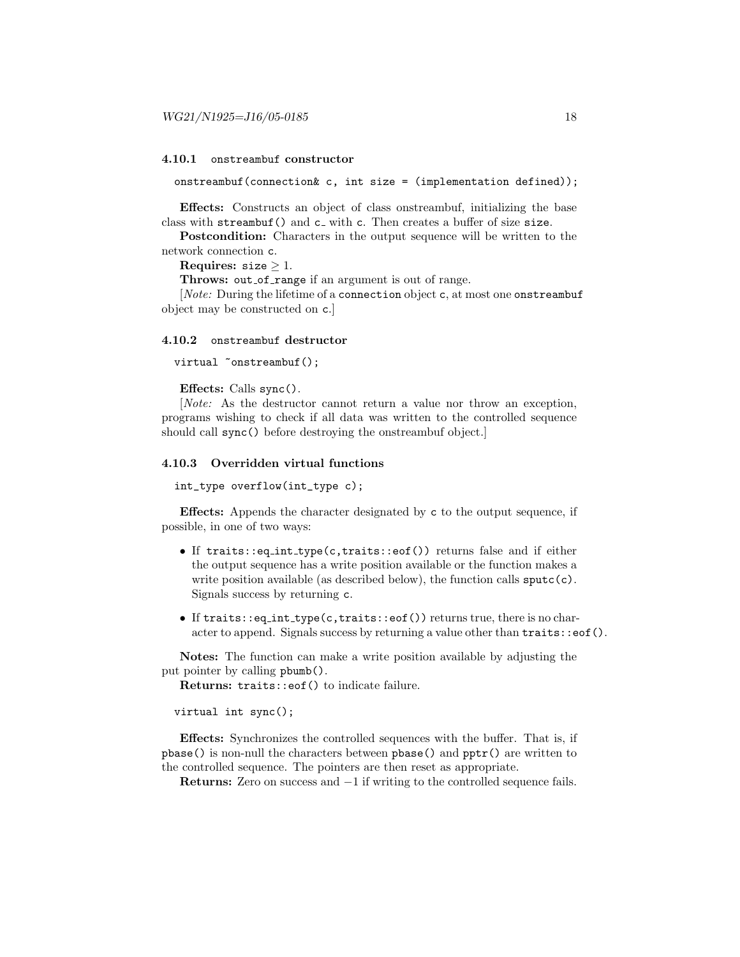#### 4.10.1 onstreambuf constructor

onstreambuf(connection $k$  c, int size = (implementation defined));

Effects: Constructs an object of class onstreambuf, initializing the base class with streambuf() and c<sub>-</sub> with c. Then creates a buffer of size size.

Postcondition: Characters in the output sequence will be written to the network connection c.

Requires:  $size > 1$ .

Throws: out\_of\_range if an argument is out of range.

[*Note:* During the lifetime of a connection object c, at most one onstreambuf object may be constructed on c.]

#### 4.10.2 onstreambuf destructor

virtual "onstreambuf();

Effects: Calls sync().

[Note: As the destructor cannot return a value nor throw an exception, programs wishing to check if all data was written to the controlled sequence should call sync() before destroying the onstreambuf object.]

#### 4.10.3 Overridden virtual functions

int\_type overflow(int\_type c);

Effects: Appends the character designated by c to the output sequence, if possible, in one of two ways:

- If traits::eq int type(c,traits::eof()) returns false and if either the output sequence has a write position available or the function makes a write position available (as described below), the function calls  $\text{sputc}(c)$ . Signals success by returning c.
- If traits::eq\_int\_type(c,traits::eof()) returns true, there is no character to append. Signals success by returning a value other than  $\text{traits:}: \text{eof}().$

Notes: The function can make a write position available by adjusting the put pointer by calling pbumb().

Returns: traits::eof() to indicate failure.

virtual int sync();

Effects: Synchronizes the controlled sequences with the buffer. That is, if pbase() is non-null the characters between pbase() and pptr() are written to the controlled sequence. The pointers are then reset as appropriate.

Returns: Zero on success and −1 if writing to the controlled sequence fails.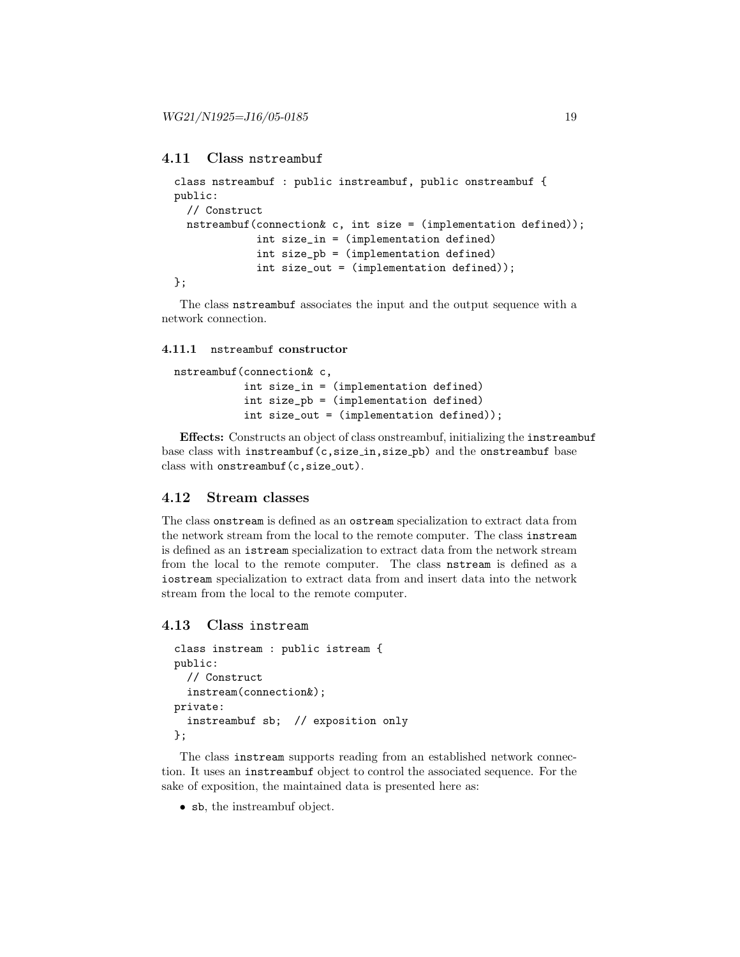# 4.11 Class nstreambuf

```
class nstreambuf : public instreambuf, public onstreambuf {
public:
  // Construct
  nstreambuf(connection& c, int size = (implementation defined));
             int size_in = (implementation defined)
             int size_pb = (implementation defined)
             int size_out = (implementation defined));
};
```
The class nstreambuf associates the input and the output sequence with a network connection.

#### 4.11.1 nstreambuf constructor

```
nstreambuf(connection& c,
           int size_in = (implementation defined)
           int size_pb = (implementation defined)
           int size_out = (implementation defined));
```
Effects: Constructs an object of class onstreambuf, initializing the instreambuf base class with instreambuf(c, size\_in, size\_pb) and the onstreambuf base class with onstreambuf (c, size\_out).

# 4.12 Stream classes

The class onstream is defined as an ostream specialization to extract data from the network stream from the local to the remote computer. The class instream is defined as an istream specialization to extract data from the network stream from the local to the remote computer. The class nstream is defined as a iostream specialization to extract data from and insert data into the network stream from the local to the remote computer.

## 4.13 Class instream

```
class instream : public istream {
public:
  // Construct
  instream(connection&);
private:
  instreambuf sb; // exposition only
};
```
The class instream supports reading from an established network connection. It uses an instreambuf object to control the associated sequence. For the sake of exposition, the maintained data is presented here as:

• sb, the instreambuf object.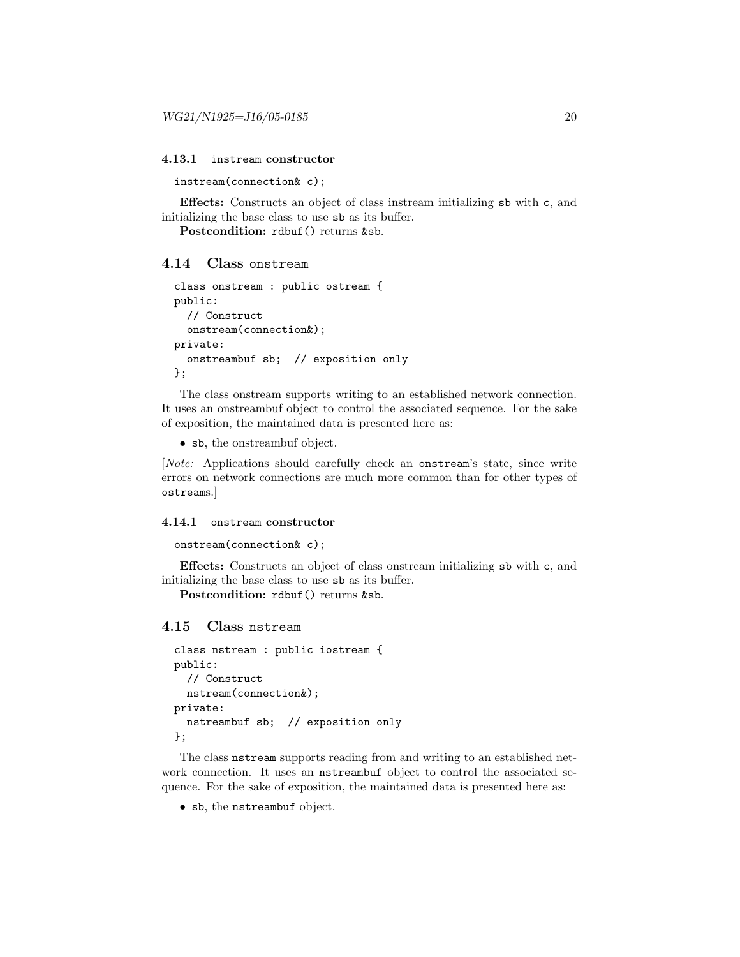#### 4.13.1 instream constructor

instream(connection& c);

Effects: Constructs an object of class instream initializing sb with c, and initializing the base class to use sb as its buffer.

Postcondition: rdbuf() returns &sb.

#### 4.14 Class onstream

```
class onstream : public ostream {
public:
  // Construct
  onstream(connection&);
private:
  onstreambuf sb; // exposition only
};
```
The class onstream supports writing to an established network connection. It uses an onstreambuf object to control the associated sequence. For the sake of exposition, the maintained data is presented here as:

• sb, the onstreambuf object.

[Note: Applications should carefully check an onstream's state, since write errors on network connections are much more common than for other types of ostreams.]

#### 4.14.1 onstream constructor

```
onstream(connection& c);
```
Effects: Constructs an object of class onstream initializing sb with c, and initializing the base class to use sb as its buffer.

Postcondition: rdbuf() returns &sb.

#### 4.15 Class nstream

```
class nstream : public iostream {
public:
  // Construct
  nstream(connection&);
private:
  nstreambuf sb; // exposition only
};
```
The class nstream supports reading from and writing to an established network connection. It uses an nstreambuf object to control the associated sequence. For the sake of exposition, the maintained data is presented here as:

• sb, the nstreambuf object.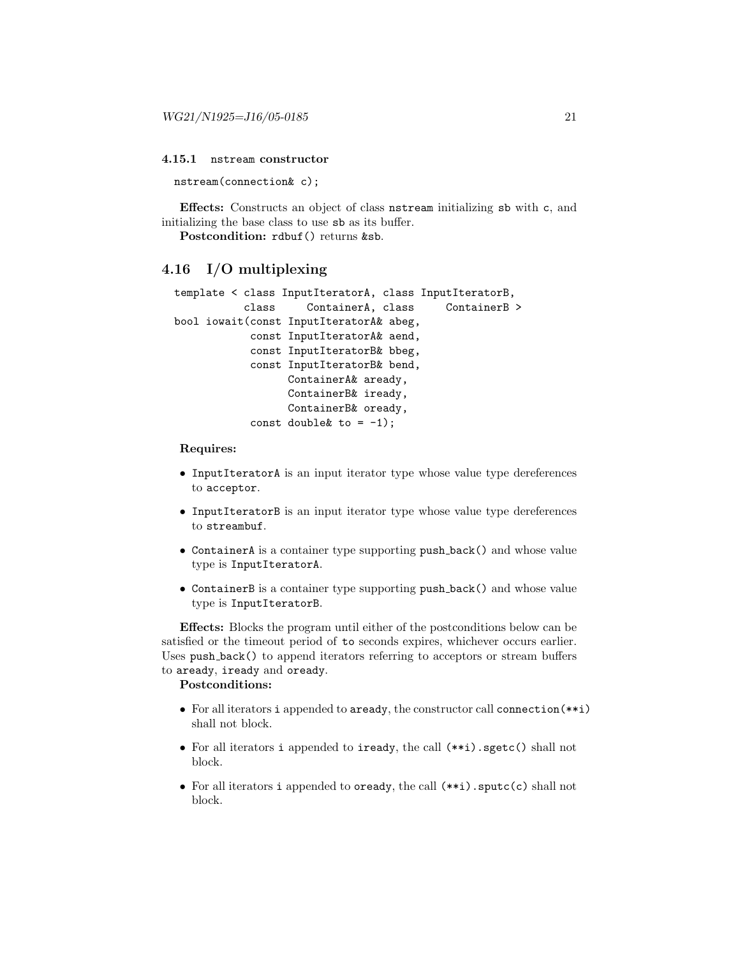#### 4.15.1 nstream constructor

nstream(connection& c);

Effects: Constructs an object of class nstream initializing sb with c, and initializing the base class to use sb as its buffer.

Postcondition: rdbuf() returns &sb.

# 4.16 I/O multiplexing

```
template < class InputIteratorA, class InputIteratorB,
           class ContainerA, class ContainerB >
bool iowait(const InputIteratorA& abeg,
            const InputIteratorA& aend,
            const InputIteratorB& bbeg,
            const InputIteratorB& bend,
                  ContainerA& aready,
                  ContainerB& iready,
                  ContainerB& oready,
            const double \& to = -1);
```
#### Requires:

- InputIteratorA is an input iterator type whose value type dereferences to acceptor.
- InputIteratorB is an input iterator type whose value type dereferences to streambuf.
- ContainerA is a container type supporting push back() and whose value type is InputIteratorA.
- ContainerB is a container type supporting push back() and whose value type is InputIteratorB.

Effects: Blocks the program until either of the postconditions below can be satisfied or the timeout period of to seconds expires, whichever occurs earlier. Uses push\_back() to append iterators referring to acceptors or stream buffers to aready, iready and oready.

#### Postconditions:

- For all iterators i appended to aready, the constructor call connection(\*\*i) shall not block.
- For all iterators i appended to iready, the call (\*\*i).sgetc() shall not block.
- For all iterators i appended to oready, the call (\*\*i).sputc(c) shall not block.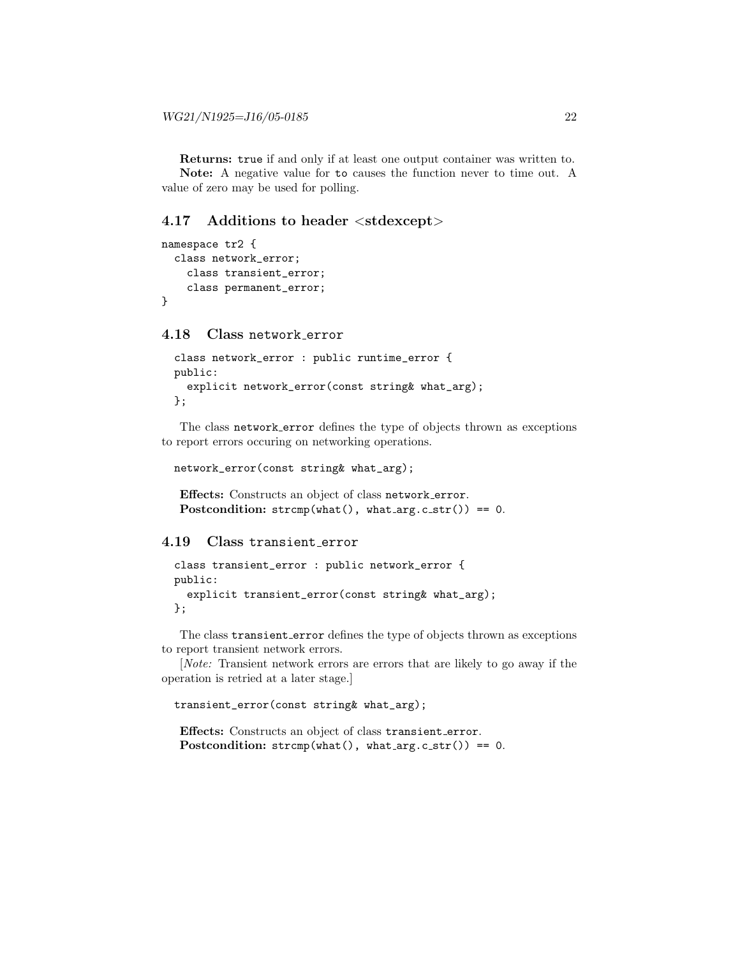Returns: true if and only if at least one output container was written to. Note: A negative value for to causes the function never to time out. A value of zero may be used for polling.

### 4.17 Additions to header <stdexcept>

```
namespace tr2 {
  class network_error;
    class transient_error;
    class permanent_error;
}
```
# 4.18 Class network error

```
class network_error : public runtime_error {
public:
  explicit network_error(const string& what_arg);
};
```
The class network error defines the type of objects thrown as exceptions to report errors occuring on networking operations.

```
network_error(const string& what_arg);
```

```
Effects: Constructs an object of class network error.
Postcondition: strcmp(what(), what(arg.c.str()) == 0.
```
4.19 Class transient error

```
class transient_error : public network_error {
public:
  explicit transient_error(const string& what_arg);
};
```
The class transient error defines the type of objects thrown as exceptions to report transient network errors.

[Note: Transient network errors are errors that are likely to go away if the operation is retried at a later stage.]

```
transient_error(const string& what_arg);
```
Effects: Constructs an object of class transient error. Postcondition:  $strcmp(what(), what(arg.c.str()) == 0.$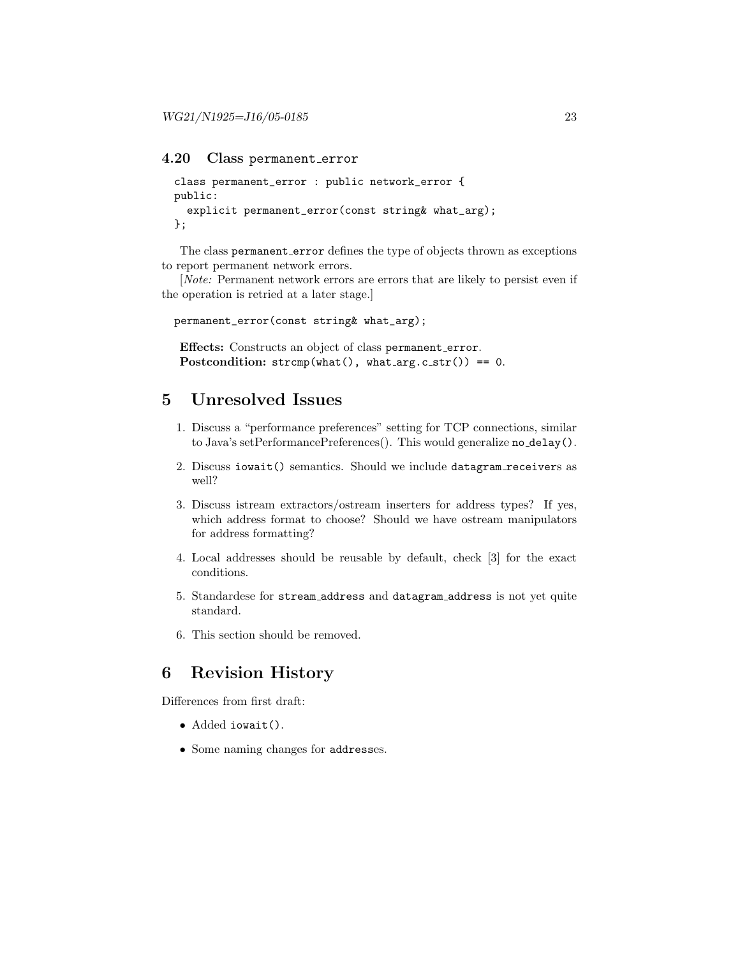## 4.20 Class permanent error

```
class permanent_error : public network_error {
public:
  explicit permanent_error(const string& what_arg);
};
```
The class permanent error defines the type of objects thrown as exceptions to report permanent network errors.

[Note: Permanent network errors are errors that are likely to persist even if the operation is retried at a later stage.]

permanent\_error(const string& what\_arg);

Effects: Constructs an object of class permanent error. Postcondition:  $strcmp(what(), what(arg.c.str()) == 0.$ 

# 5 Unresolved Issues

- 1. Discuss a "performance preferences" setting for TCP connections, similar to Java's setPerformancePreferences(). This would generalize no delay().
- 2. Discuss iowait() semantics. Should we include datagram receivers as well?
- 3. Discuss istream extractors/ostream inserters for address types? If yes, which address format to choose? Should we have ostream manipulators for address formatting?
- 4. Local addresses should be reusable by default, check [3] for the exact conditions.
- 5. Standardese for stream address and datagram address is not yet quite standard.
- 6. This section should be removed.

# 6 Revision History

Differences from first draft:

- Added iowait().
- Some naming changes for addresses.